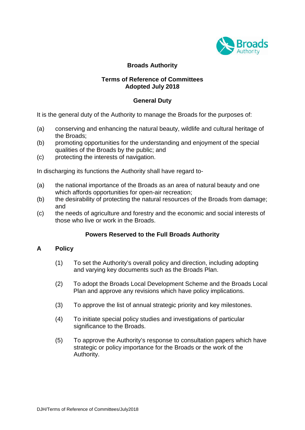

# **Broads Authority**

## **Terms of Reference of Committees Adopted July 2018**

## **General Duty**

It is the general duty of the Authority to manage the Broads for the purposes of:

- (a) conserving and enhancing the natural beauty, wildlife and cultural heritage of the Broads;
- (b) promoting opportunities for the understanding and enjoyment of the special qualities of the Broads by the public; and
- (c) protecting the interests of navigation.

In discharging its functions the Authority shall have regard to-

- (a) the national importance of the Broads as an area of natural beauty and one which affords opportunities for open-air recreation;
- (b) the desirability of protecting the natural resources of the Broads from damage; and
- (c) the needs of agriculture and forestry and the economic and social interests of those who live or work in the Broads.

### **Powers Reserved to the Full Broads Authority**

### **A Policy**

- (1) To set the Authority's overall policy and direction, including adopting and varying key documents such as the Broads Plan.
- (2) To adopt the Broads Local Development Scheme and the Broads Local Plan and approve any revisions which have policy implications.
- (3) To approve the list of annual strategic priority and key milestones.
- (4) To initiate special policy studies and investigations of particular significance to the Broads.
- (5) To approve the Authority's response to consultation papers which have strategic or policy importance for the Broads or the work of the Authority.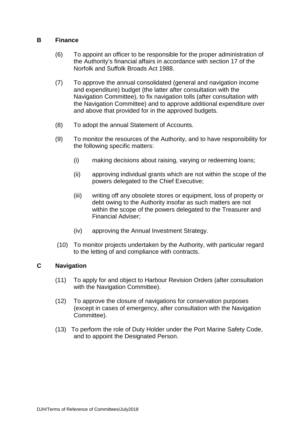#### **B Finance**

- (6) To appoint an officer to be responsible for the proper administration of the Authority's financial affairs in accordance with section 17 of the Norfolk and Suffolk Broads Act 1988.
- (7) To approve the annual consolidated (general and navigation income and expenditure) budget (the latter after consultation with the Navigation Committee), to fix navigation tolls (after consultation with the Navigation Committee) and to approve additional expenditure over and above that provided for in the approved budgets.
- (8) To adopt the annual Statement of Accounts.
- (9) To monitor the resources of the Authority, and to have responsibility for the following specific matters:
	- (i) making decisions about raising, varying or redeeming loans;
	- (ii) approving individual grants which are not within the scope of the powers delegated to the Chief Executive;
	- (iii) writing off any obsolete stores or equipment, loss of property or debt owing to the Authority insofar as such matters are not within the scope of the powers delegated to the Treasurer and Financial Adviser;
	- (iv) approving the Annual Investment Strategy.
- (10) To monitor projects undertaken by the Authority, with particular regard to the letting of and compliance with contracts.

## **C Navigation**

- (11) To apply for and object to Harbour Revision Orders (after consultation with the Navigation Committee).
- (12) To approve the closure of navigations for conservation purposes (except in cases of emergency, after consultation with the Navigation Committee).
- (13) To perform the role of Duty Holder under the Port Marine Safety Code, and to appoint the Designated Person.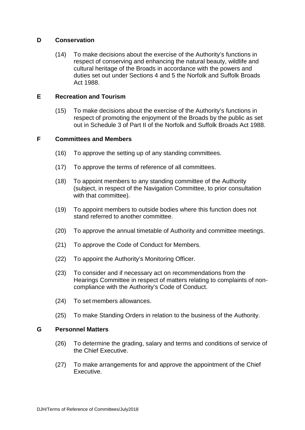### **D Conservation**

(14) To make decisions about the exercise of the Authority's functions in respect of conserving and enhancing the natural beauty, wildlife and cultural heritage of the Broads in accordance with the powers and duties set out under Sections 4 and 5 the Norfolk and Suffolk Broads Act 1988.

### **E Recreation and Tourism**

(15) To make decisions about the exercise of the Authority's functions in respect of promoting the enjoyment of the Broads by the public as set out in Schedule 3 of Part II of the Norfolk and Suffolk Broads Act 1988.

## **F Committees and Members**

- (16) To approve the setting up of any standing committees.
- (17) To approve the terms of reference of all committees.
- (18) To appoint members to any standing committee of the Authority (subject, in respect of the Navigation Committee, to prior consultation with that committee).
- (19) To appoint members to outside bodies where this function does not stand referred to another committee.
- (20) To approve the annual timetable of Authority and committee meetings.
- (21) To approve the Code of Conduct for Members.
- (22) To appoint the Authority's Monitoring Officer.
- (23) To consider and if necessary act on recommendations from the Hearings Committee in respect of matters relating to complaints of noncompliance with the Authority's Code of Conduct.
- (24) To set members allowances.
- (25) To make Standing Orders in relation to the business of the Authority.

### **G Personnel Matters**

- (26) To determine the grading, salary and terms and conditions of service of the Chief Executive.
- (27) To make arrangements for and approve the appointment of the Chief Executive.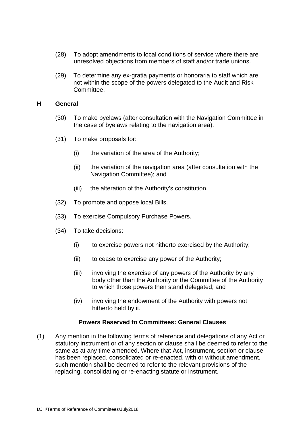- (28) To adopt amendments to local conditions of service where there are unresolved objections from members of staff and/or trade unions.
- (29) To determine any ex-gratia payments or honoraria to staff which are not within the scope of the powers delegated to the Audit and Risk Committee.

#### **H General**

- (30) To make byelaws (after consultation with the Navigation Committee in the case of byelaws relating to the navigation area).
- (31) To make proposals for:
	- (i) the variation of the area of the Authority;
	- (ii) the variation of the navigation area (after consultation with the Navigation Committee); and
	- (iii) the alteration of the Authority's constitution.
- (32) To promote and oppose local Bills.
- (33) To exercise Compulsory Purchase Powers.
- (34) To take decisions:
	- (i) to exercise powers not hitherto exercised by the Authority;
	- (ii) to cease to exercise any power of the Authority;
	- (iii) involving the exercise of any powers of the Authority by any body other than the Authority or the Committee of the Authority to which those powers then stand delegated; and
	- (iv) involving the endowment of the Authority with powers not hitherto held by it.

### **Powers Reserved to Committees: General Clauses**

(1) Any mention in the following terms of reference and delegations of any Act or statutory instrument or of any section or clause shall be deemed to refer to the same as at any time amended. Where that Act, instrument, section or clause has been replaced, consolidated or re-enacted, with or without amendment, such mention shall be deemed to refer to the relevant provisions of the replacing, consolidating or re-enacting statute or instrument.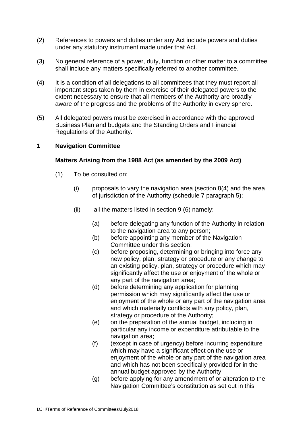- (2) References to powers and duties under any Act include powers and duties under any statutory instrument made under that Act.
- (3) No general reference of a power, duty, function or other matter to a committee shall include any matters specifically referred to another committee.
- (4) It is a condition of all delegations to all committees that they must report all important steps taken by them in exercise of their delegated powers to the extent necessary to ensure that all members of the Authority are broadly aware of the progress and the problems of the Authority in every sphere.
- (5) All delegated powers must be exercised in accordance with the approved Business Plan and budgets and the Standing Orders and Financial Regulations of the Authority.

### **1 Navigation Committee**

#### **Matters Arising from the 1988 Act (as amended by the 2009 Act)**

- (1) To be consulted on:
	- $(i)$  proposals to vary the navigation area (section  $8(4)$  and the area of jurisdiction of the Authority (schedule 7 paragraph 5);
	- (ii) all the matters listed in section 9 (6) namely:
		- (a) before delegating any function of the Authority in relation to the navigation area to any person;
		- (b) before appointing any member of the Navigation Committee under this section;
		- (c) before proposing, determining or bringing into force any new policy, plan, strategy or procedure or any change to an existing policy, plan, strategy or procedure which may significantly affect the use or enjoyment of the whole or any part of the navigation area;
		- (d) before determining any application for planning permission which may significantly affect the use or enjoyment of the whole or any part of the navigation area and which materially conflicts with any policy, plan, strategy or procedure of the Authority;
		- (e) on the preparation of the annual budget, including in particular any income or expenditure attributable to the navigation area;
		- (f) (except in case of urgency) before incurring expenditure which may have a significant effect on the use or enjoyment of the whole or any part of the navigation area and which has not been specifically provided for in the annual budget approved by the Authority;
		- (g) before applying for any amendment of or alteration to the Navigation Committee's constitution as set out in this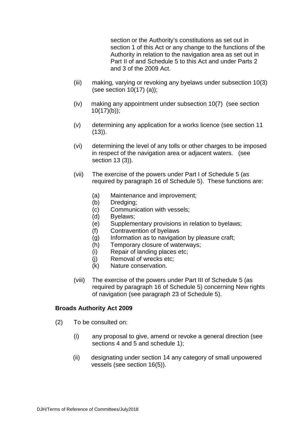section or the Authority's constitutions as set out in section 1 of this Act or any change to the functions of the Authority in relation to the navigation area as set out in Part II of and Schedule 5 to this Act and under Parts 2 and 3 of the 2009 Act.

- (iii) making, varying or revoking any byelaws under subsection 10(3) (see section 10(17) (a));
- (iv) making any appointment under subsection 10(7) (see section  $10(17)(b)$ ;
- (v) determining any application for a works licence (see section 11  $(13)$ ).
- (vi) determining the level of any tolls or other charges to be imposed in respect of the navigation area or adjacent waters. (see section 13 (3)).
- (vii) The exercise of the powers under Part I of Schedule 5 (as required by paragraph 16 of Schedule 5). These functions are:
	- (a) Maintenance and improvement;
	- (b) Dredging;
	- (c) Communication with vessels;
	- (d) Byelaws;
	- (e) Supplementary provisions in relation to byelaws;
	- (f) Contravention of byelaws
	- (g) Information as to navigation by pleasure craft;
	- (h) Temporary closure of waterways;
	- (i) Repair of landing places etc;
	- (j) Removal of wrecks etc;
	- (k) Nature conservation.
- (viii) The exercise of the powers under Part III of Schedule 5 (as required by paragraph 16 of Schedule 5) concerning New rights of navigation (see paragraph 23 of Schedule 5).

#### **Broads Authority Act 2009**

- (2) To be consulted on:
	- (i) any proposal to give, amend or revoke a general direction (see sections 4 and 5 and schedule 1);
	- (ii) designating under section 14 any category of small unpowered vessels (see section 16(5)).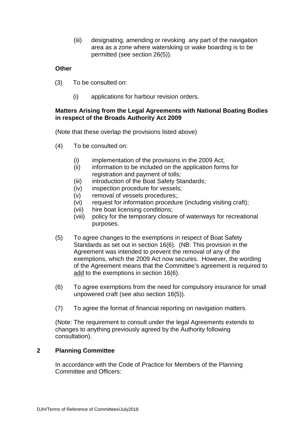(iii) designating, amending or revoking any part of the navigation area as a zone where waterskiing or wake boarding is to be permitted (see section 26(5)).

## **Other**

- (3) To be consulted on:
	- (i) applications for harbour revision orders.

#### **Matters Arising from the Legal Agreements with National Boating Bodies in respect of the Broads Authority Act 2009**

(Note that these overlap the provisions listed above)

- (4) To be consulted on:
	- (i) implementation of the provisions in the 2009 Act;
	- (ii) information to be included on the application forms for registration and payment of tolls;
	- (iii) introduction of the Boat Safety Standards;
	- (iv) inspection procedure for vessels;
	- (v) removal of vessels procedures;.
	- (vi) request for information procedure (including visiting craft);
	- (vii) hire boat licensing conditions;
	- (viii) policy for the temporary closure of waterways for recreational purposes.
- (5) To agree changes to the exemptions in respect of Boat Safety Standards as set out in section 16(6). (NB: This provision in the Agreement was intended to prevent the removal of any of the exemptions, which the 2009 Act now secures. However, the wording of the Agreement means that the Committee's agreement is required to add to the exemptions in section 16(6).
- (6) To agree exemptions from the need for compulsory insurance for small unpowered craft (see also section 16(5)).
- (7) To agree the format of financial reporting on navigation matters.

(Note: The requirement to consult under the legal Agreements extends to changes to anything previously agreed by the Authority following consultation).

### **2 Planning Committee**

In accordance with the Code of Practice for Members of the Planning Committee and Officers: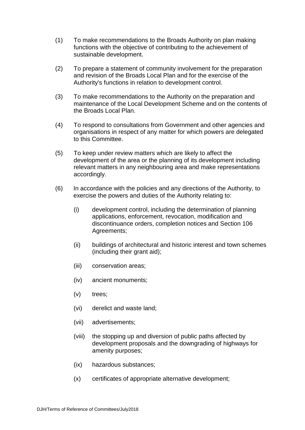- (1) To make recommendations to the Broads Authority on plan making functions with the objective of contributing to the achievement of sustainable development.
- (2) To prepare a statement of community involvement for the preparation and revision of the Broads Local Plan and for the exercise of the Authority's functions in relation to development control.
- (3) To make recommendations to the Authority on the preparation and maintenance of the Local Development Scheme and on the contents of the Broads Local Plan.
- (4) To respond to consultations from Government and other agencies and organisations in respect of any matter for which powers are delegated to this Committee.
- (5) To keep under review matters which are likely to affect the development of the area or the planning of its development including relevant matters in any neighbouring area and make representations accordingly.
- (6) In accordance with the policies and any directions of the Authority, to exercise the powers and duties of the Authority relating to:
	- (i) development control, including the determination of planning applications, enforcement, revocation, modification and discontinuance orders, completion notices and Section 106 Agreements;
	- (ii) buildings of architectural and historic interest and town schemes (including their grant aid);
	- (iii) conservation areas;
	- (iv) ancient monuments;
	- (v) trees;
	- (vi) derelict and waste land;
	- (vii) advertisements;
	- (viii) the stopping up and diversion of public paths affected by development proposals and the downgrading of highways for amenity purposes;
	- (ix) hazardous substances;
	- (x) certificates of appropriate alternative development;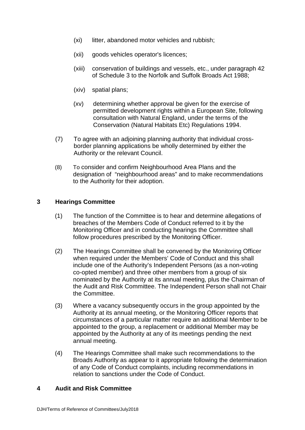- (xi) litter, abandoned motor vehicles and rubbish;
- (xii) goods vehicles operator's licences;
- (xiii) conservation of buildings and vessels, etc., under paragraph 42 of Schedule 3 to the Norfolk and Suffolk Broads Act 1988;
- (xiv) spatial plans;
- (xv) determining whether approval be given for the exercise of permitted development rights within a European Site, following consultation with Natural England, under the terms of the Conservation (Natural Habitats Etc) Regulations 1994.
- (7) To agree with an adjoining planning authority that individual crossborder planning applications be wholly determined by either the Authority or the relevant Council.
- (8) To consider and confirm Neighbourhood Area Plans and the designation of "neighbourhood areas" and to make recommendations to the Authority for their adoption.

### **3 Hearings Committee**

- (1) The function of the Committee is to hear and determine allegations of breaches of the Members Code of Conduct referred to it by the Monitoring Officer and in conducting hearings the Committee shall follow procedures prescribed by the Monitoring Officer.
- (2) The Hearings Committee shall be convened by the Monitoring Officer when required under the Members' Code of Conduct and this shall include one of the Authority's Independent Persons (as a non-voting co-opted member) and three other members from a group of six nominated by the Authority at its annual meeting, plus the Chairman of the Audit and Risk Committee. The Independent Person shall not Chair the Committee.
- (3) Where a vacancy subsequently occurs in the group appointed by the Authority at its annual meeting, or the Monitoring Officer reports that circumstances of a particular matter require an additional Member to be appointed to the group, a replacement or additional Member may be appointed by the Authority at any of its meetings pending the next annual meeting.
- (4) The Hearings Committee shall make such recommendations to the Broads Authority as appear to it appropriate following the determination of any Code of Conduct complaints, including recommendations in relation to sanctions under the Code of Conduct.

### **4 Audit and Risk Committee**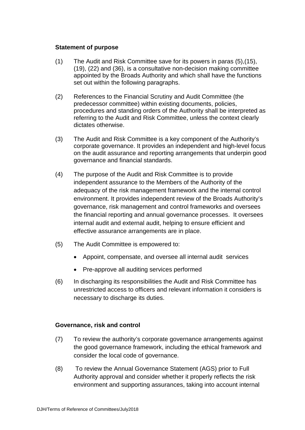#### **Statement of purpose**

- (1) The Audit and Risk Committee save for its powers in paras (5),(15), (19), (22) and (36), is a consultative non-decision making committee appointed by the Broads Authority and which shall have the functions set out within the following paragraphs.
- (2) References to the Financial Scrutiny and Audit Committee (the predecessor committee) within existing documents, policies, procedures and standing orders of the Authority shall be interpreted as referring to the Audit and Risk Committee, unless the context clearly dictates otherwise.
- (3) The Audit and Risk Committee is a key component of the Authority's corporate governance. It provides an independent and high-level focus on the audit assurance and reporting arrangements that underpin good governance and financial standards.
- (4) The purpose of the Audit and Risk Committee is to provide independent assurance to the Members of the Authority of the adequacy of the risk management framework and the internal control environment. It provides independent review of the Broads Authority's governance, risk management and control frameworks and oversees the financial reporting and annual governance processes. It oversees internal audit and external audit, helping to ensure efficient and effective assurance arrangements are in place.
- (5) The Audit Committee is empowered to:
	- Appoint, compensate, and oversee all internal audit services
	- Pre-approve all auditing services performed
- (6) In discharging its responsibilities the Audit and Risk Committee has unrestricted access to officers and relevant information it considers is necessary to discharge its duties.

### **Governance, risk and control**

- (7) To review the authority's corporate governance arrangements against the good governance framework, including the ethical framework and consider the local code of governance.
- (8) To review the Annual Governance Statement (AGS) prior to Full Authority approval and consider whether it properly reflects the risk environment and supporting assurances, taking into account internal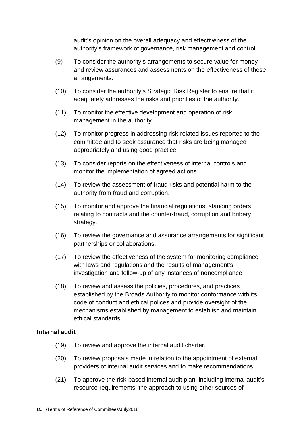audit's opinion on the overall adequacy and effectiveness of the authority's framework of governance, risk management and control.

- (9) To consider the authority's arrangements to secure value for money and review assurances and assessments on the effectiveness of these arrangements.
- (10) To consider the authority's Strategic Risk Register to ensure that it adequately addresses the risks and priorities of the authority.
- (11) To monitor the effective development and operation of risk management in the authority.
- (12) To monitor progress in addressing risk-related issues reported to the committee and to seek assurance that risks are being managed appropriately and using good practice.
- (13) To consider reports on the effectiveness of internal controls and monitor the implementation of agreed actions.
- (14) To review the assessment of fraud risks and potential harm to the authority from fraud and corruption.
- (15) To monitor and approve the financial regulations, standing orders relating to contracts and the counter-fraud, corruption and bribery strategy.
- (16) To review the governance and assurance arrangements for significant partnerships or collaborations.
- (17) To review the effectiveness of the system for monitoring compliance with laws and regulations and the results of management's investigation and follow-up of any instances of noncompliance.
- (18) To review and assess the policies, procedures, and practices established by the Broads Authority to monitor conformance with its code of conduct and ethical polices and provide oversight of the mechanisms established by management to establish and maintain ethical standards

### **Internal audit**

- (19) To review and approve the internal audit charter.
- (20) To review proposals made in relation to the appointment of external providers of internal audit services and to make recommendations.
- (21) To approve the risk-based internal audit plan, including internal audit's resource requirements, the approach to using other sources of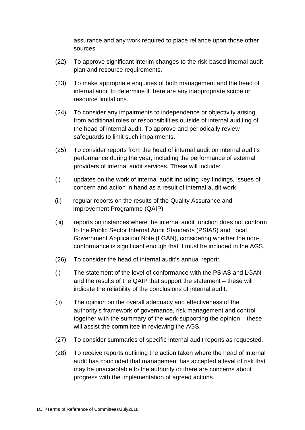assurance and any work required to place reliance upon those other sources.

- (22) To approve significant interim changes to the risk-based internal audit plan and resource requirements.
- (23) To make appropriate enquiries of both management and the head of internal audit to determine if there are any inappropriate scope or resource limitations.
- (24) To consider any impairments to independence or objectivity arising from additional roles or responsibilities outside of internal auditing of the head of internal audit. To approve and periodically review safeguards to limit such impairments.
- (25) To consider reports from the head of internal audit on internal audit's performance during the year, including the performance of external providers of internal audit services. These will include:
- (i) updates on the work of internal audit including key findings, issues of concern and action in hand as a result of internal audit work
- (ii) regular reports on the results of the Quality Assurance and Improvement Programme (QAIP)
- (iii) reports on instances where the internal audit function does not conform to the Public Sector Internal Audit Standards (PSIAS) and Local Government Application Note (LGAN), considering whether the nonconformance is significant enough that it must be included in the AGS.
- (26) To consider the head of internal audit's annual report:
- (i) The statement of the level of conformance with the PSIAS and LGAN and the results of the QAIP that support the statement – these will indicate the reliability of the conclusions of internal audit.
- (ii) The opinion on the overall adequacy and effectiveness of the authority's framework of governance, risk management and control together with the summary of the work supporting the opinion – these will assist the committee in reviewing the AGS.
- (27) To consider summaries of specific internal audit reports as requested.
- (28) To receive reports outlining the action taken where the head of internal audit has concluded that management has accepted a level of risk that may be unacceptable to the authority or there are concerns about progress with the implementation of agreed actions.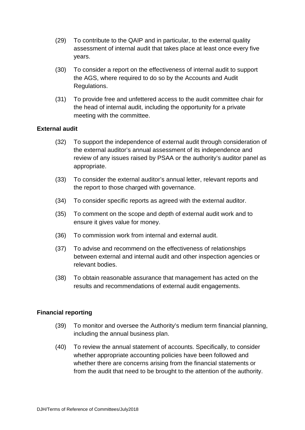- (29) To contribute to the QAIP and in particular, to the external quality assessment of internal audit that takes place at least once every five years.
- (30) To consider a report on the effectiveness of internal audit to support the AGS, where required to do so by the Accounts and Audit Regulations.
- (31) To provide free and unfettered access to the audit committee chair for the head of internal audit, including the opportunity for a private meeting with the committee.

## **External audit**

- (32) To support the independence of external audit through consideration of the external auditor's annual assessment of its independence and review of any issues raised by PSAA or the authority's auditor panel as appropriate.
- (33) To consider the external auditor's annual letter, relevant reports and the report to those charged with governance.
- (34) To consider specific reports as agreed with the external auditor.
- (35) To comment on the scope and depth of external audit work and to ensure it gives value for money.
- (36) To commission work from internal and external audit.
- (37) To advise and recommend on the effectiveness of relationships between external and internal audit and other inspection agencies or relevant bodies.
- (38) To obtain reasonable assurance that management has acted on the results and recommendations of external audit engagements.

# **Financial reporting**

- (39) To monitor and oversee the Authority's medium term financial planning, including the annual business plan.
- (40) To review the annual statement of accounts. Specifically, to consider whether appropriate accounting policies have been followed and whether there are concerns arising from the financial statements or from the audit that need to be brought to the attention of the authority.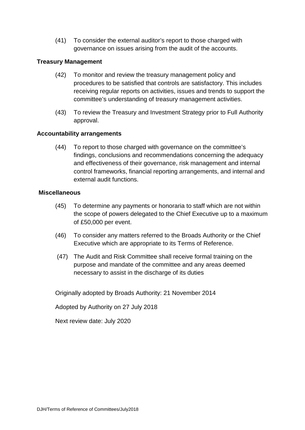(41) To consider the external auditor's report to those charged with governance on issues arising from the audit of the accounts.

## **Treasury Management**

- (42) To monitor and review the treasury management policy and procedures to be satisfied that controls are satisfactory. This includes receiving regular reports on activities, issues and trends to support the committee's understanding of treasury management activities.
- (43) To review the Treasury and Investment Strategy prior to Full Authority approval.

## **Accountability arrangements**

(44) To report to those charged with governance on the committee's findings, conclusions and recommendations concerning the adequacy and effectiveness of their governance, risk management and internal control frameworks, financial reporting arrangements, and internal and external audit functions.

### **Miscellaneous**

- (45) To determine any payments or honoraria to staff which are not within the scope of powers delegated to the Chief Executive up to a maximum of £50,000 per event.
- (46) To consider any matters referred to the Broads Authority or the Chief Executive which are appropriate to its Terms of Reference.
- (47) The Audit and Risk Committee shall receive formal training on the purpose and mandate of the committee and any areas deemed necessary to assist in the discharge of its duties

Originally adopted by Broads Authority: 21 November 2014

Adopted by Authority on 27 July 2018

Next review date: July 2020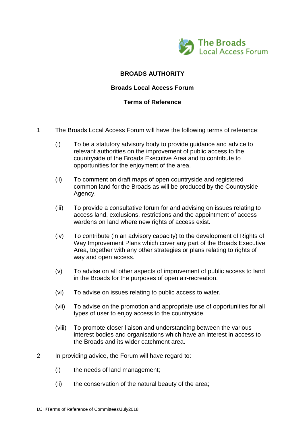

# **BROADS AUTHORITY**

### **Broads Local Access Forum**

## **Terms of Reference**

- 1 The Broads Local Access Forum will have the following terms of reference:
	- (i) To be a statutory advisory body to provide guidance and advice to relevant authorities on the improvement of public access to the countryside of the Broads Executive Area and to contribute to opportunities for the enjoyment of the area.
	- (ii) To comment on draft maps of open countryside and registered common land for the Broads as will be produced by the Countryside Agency.
	- (iii) To provide a consultative forum for and advising on issues relating to access land, exclusions, restrictions and the appointment of access wardens on land where new rights of access exist.
	- (iv) To contribute (in an advisory capacity) to the development of Rights of Way Improvement Plans which cover any part of the Broads Executive Area, together with any other strategies or plans relating to rights of way and open access.
	- (v) To advise on all other aspects of improvement of public access to land in the Broads for the purposes of open air-recreation.
	- (vi) To advise on issues relating to public access to water.
	- (vii) To advise on the promotion and appropriate use of opportunities for all types of user to enjoy access to the countryside.
	- (viii) To promote closer liaison and understanding between the various interest bodies and organisations which have an interest in access to the Broads and its wider catchment area.
- 2 In providing advice, the Forum will have regard to:
	- (i) the needs of land management;
	- (ii) the conservation of the natural beauty of the area;